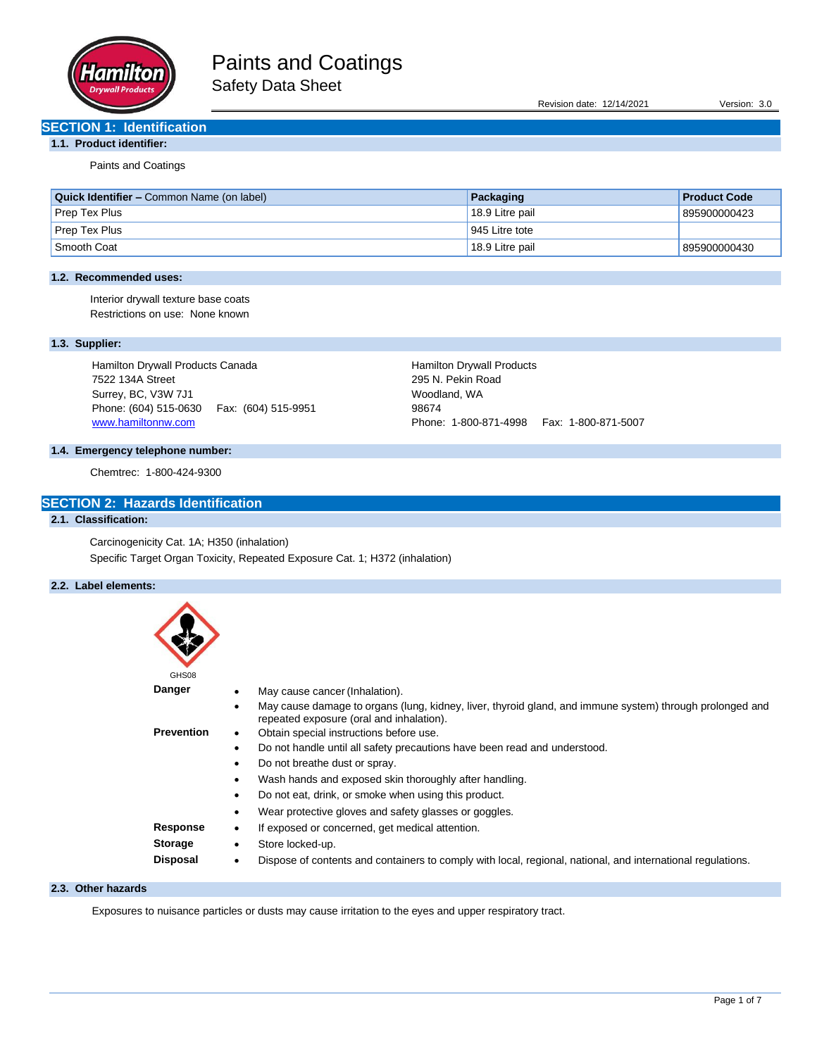

Revision date: 12/14/2021 Version: 3.0

## **SECTION 1: Identification**

## **1.1. Product identifier:**

Paints and Coatings

| <b>Quick Identifier – Common Name (on label)</b> | Packaging       | <b>Product Code</b> |
|--------------------------------------------------|-----------------|---------------------|
| Prep Tex Plus                                    | 18.9 Litre pail | 895900000423        |
| Prep Tex Plus                                    | 945 Litre tote  |                     |
| Smooth Coat                                      | 18.9 Litre pail | 895900000430        |

## **1.2. Recommended uses:**

Interior drywall texture base coats Restrictions on use: None known

## **1.3. Supplier:**

Hamilton Drywall Products Canada 7522 134A Street Surrey, BC, V3W 7J1 Phone: (604) 515-0630 Fax: (604) 515-9951 [www.hamiltonnw.com](http://www.hamiltonnw.com/)

Hamilton Drywall Products 295 N. Pekin Road Woodland, WA 98674 Phone: 1-800-871-4998 Fax: 1-800-871-5007

## **1.4. Emergency telephone number:**

Chemtrec: 1-800-424-9300

## **SECTION 2: Hazards Identification**

## **2.1. Classification:**

Carcinogenicity Cat. 1A; H350 (inhalation) Specific Target Organ Toxicity, Repeated Exposure Cat. 1; H372 (inhalation)

## **2.2. Label elements:**

| GHS08             |                                                                                                                                                                   |
|-------------------|-------------------------------------------------------------------------------------------------------------------------------------------------------------------|
| Danger            | May cause cancer (Inhalation).                                                                                                                                    |
|                   | May cause damage to organs (lung, kidney, liver, thyroid gland, and immune system) through prolonged and<br>$\bullet$<br>repeated exposure (oral and inhalation). |
| <b>Prevention</b> | Obtain special instructions before use.<br>٠                                                                                                                      |
|                   | Do not handle until all safety precautions have been read and understood.<br>$\bullet$                                                                            |
|                   | Do not breathe dust or spray.<br>$\bullet$                                                                                                                        |
|                   | Wash hands and exposed skin thoroughly after handling.<br>$\bullet$                                                                                               |
|                   | Do not eat, drink, or smoke when using this product.<br>٠                                                                                                         |
|                   | Wear protective gloves and safety glasses or goggles.<br>٠                                                                                                        |
| Response          | If exposed or concerned, get medical attention.<br>٠                                                                                                              |
| <b>Storage</b>    | Store locked-up.<br>$\bullet$                                                                                                                                     |
| Disposal          | Dispose of contents and containers to comply with local, regional, national, and international regulations.<br>$\bullet$                                          |

#### **2.3. Other hazards**

Exposures to nuisance particles or dusts may cause irritation to the eyes and upper respiratory tract.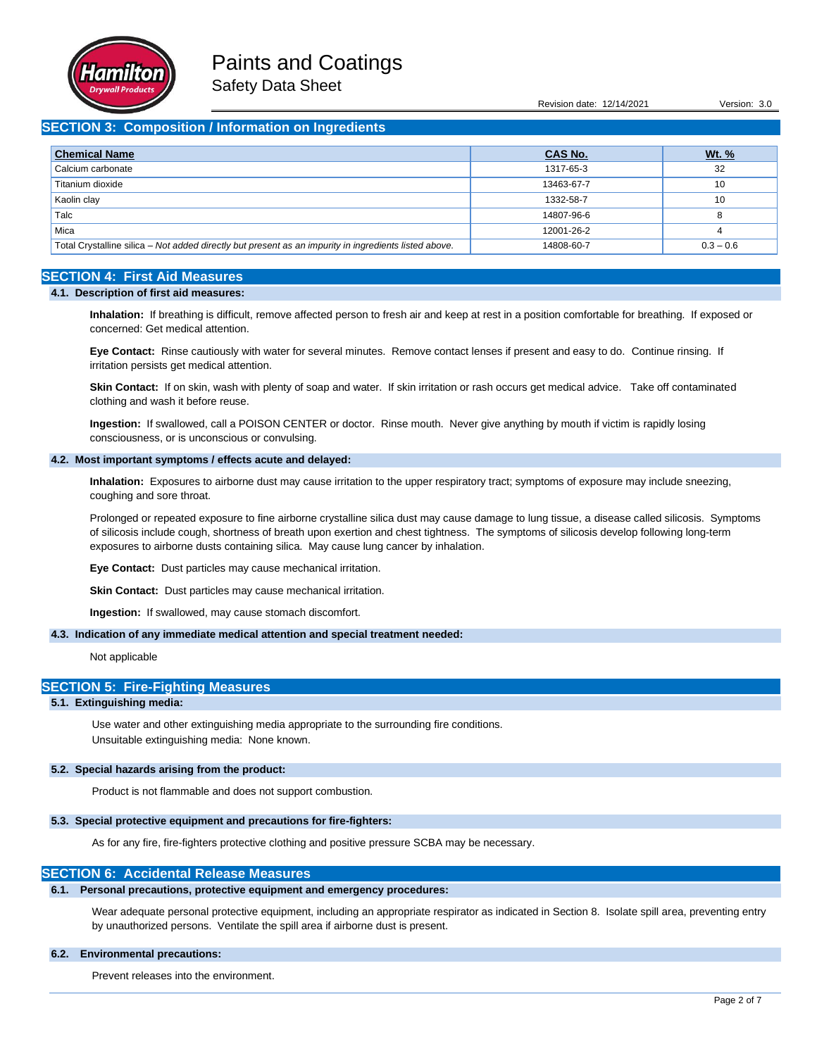

Revision date: 12/14/2021 Version: 3.0

## **SECTION 3: Composition / Information on Ingredients**

| <b>Chemical Name</b>                                                                                  | <b>CAS No.</b> | <u>Wt. %</u> |
|-------------------------------------------------------------------------------------------------------|----------------|--------------|
| Calcium carbonate                                                                                     | 1317-65-3      | 32           |
| Titanium dioxide                                                                                      | 13463-67-7     | 10           |
| Kaolin clay                                                                                           | 1332-58-7      | 10           |
| Talc                                                                                                  | 14807-96-6     | o            |
| Mica                                                                                                  | 12001-26-2     | 4            |
| Total Crystalline silica - Not added directly but present as an impurity in ingredients listed above. | 14808-60-7     | $0.3 - 0.6$  |

## **SECTION 4: First Aid Measures**

#### **4.1. Description of first aid measures:**

**Inhalation:** If breathing is difficult, remove affected person to fresh air and keep at rest in a position comfortable for breathing. If exposed or concerned: Get medical attention.

**Eye Contact:** Rinse cautiously with water for several minutes. Remove contact lenses if present and easy to do. Continue rinsing. If irritation persists get medical attention.

**Skin Contact:** If on skin, wash with plenty of soap and water. If skin irritation or rash occurs get medical advice. Take off contaminated clothing and wash it before reuse.

**Ingestion:** If swallowed, call a POISON CENTER or doctor. Rinse mouth. Never give anything by mouth if victim is rapidly losing consciousness, or is unconscious or convulsing.

## **4.2. Most important symptoms / effects acute and delayed:**

**Inhalation:** Exposures to airborne dust may cause irritation to the upper respiratory tract; symptoms of exposure may include sneezing, coughing and sore throat.

Prolonged or repeated exposure to fine airborne crystalline silica dust may cause damage to lung tissue, a disease called silicosis. Symptoms of silicosis include cough, shortness of breath upon exertion and chest tightness. The symptoms of silicosis develop following long-term exposures to airborne dusts containing silica. May cause lung cancer by inhalation.

**Eye Contact:** Dust particles may cause mechanical irritation.

**Skin Contact:** Dust particles may cause mechanical irritation.

**Ingestion:** If swallowed, may cause stomach discomfort.

#### **4.3. Indication of any immediate medical attention and special treatment needed:**

Not applicable

#### **SECTION 5: Fire-Fighting Measures**

### **5.1. Extinguishing media:**

Use water and other extinguishing media appropriate to the surrounding fire conditions. Unsuitable extinguishing media: None known.

### **5.2. Special hazards arising from the product:**

Product is not flammable and does not support combustion.

### **5.3. Special protective equipment and precautions for fire-fighters:**

As for any fire, fire-fighters protective clothing and positive pressure SCBA may be necessary.

### **SECTION 6: Accidental Release Measures**

#### **6.1. Personal precautions, protective equipment and emergency procedures:**

Wear adequate personal protective equipment, including an appropriate respirator as indicated in Section 8. Isolate spill area, preventing entry by unauthorized persons. Ventilate the spill area if airborne dust is present.

### **6.2. Environmental precautions:**

Prevent releases into the environment.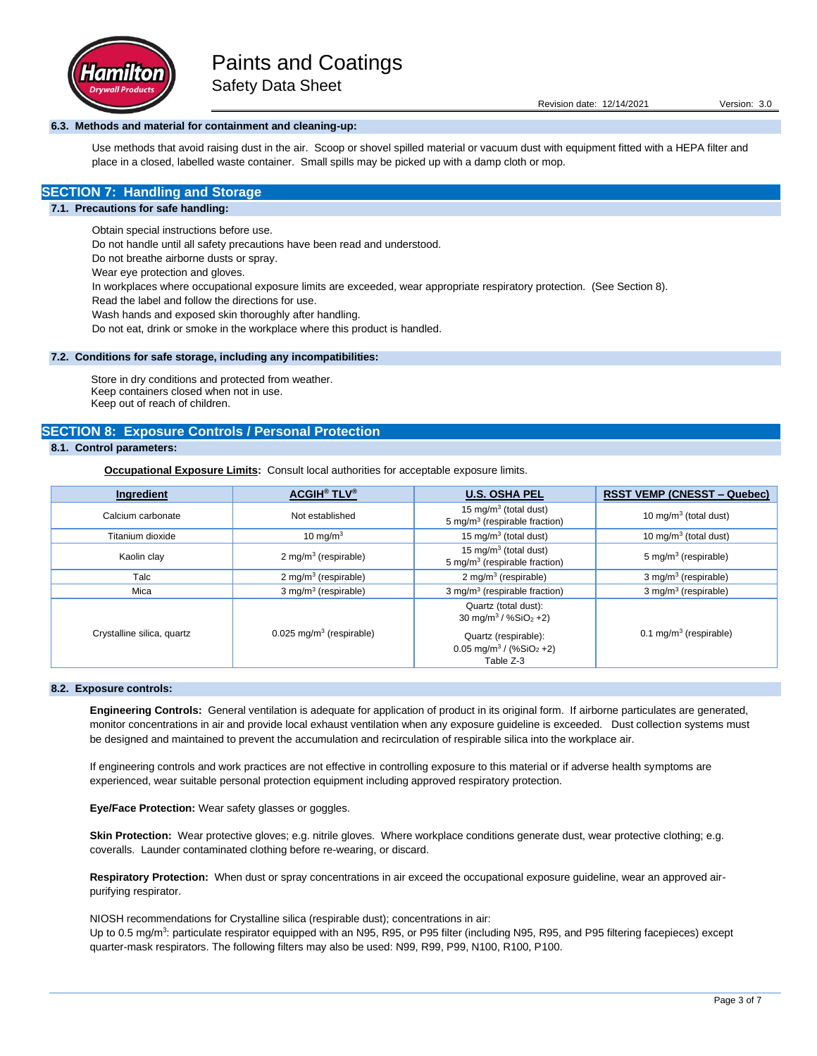

### **6.3. Methods and material for containment and cleaning-up:**

Use methods that avoid raising dust in the air. Scoop or shovel spilled material or vacuum dust with equipment fitted with a HEPA filter and place in a closed, labelled waste container. Small spills may be picked up with a damp cloth or mop.

## **SECTION 7: Handling and Storage**

#### **7.1. Precautions for safe handling:**

Obtain special instructions before use.

Do not handle until all safety precautions have been read and understood.

Do not breathe airborne dusts or spray.

Wear eye protection and gloves.

In workplaces where occupational exposure limits are exceeded, wear appropriate respiratory protection. (See Section 8).

Read the label and follow the directions for use.

Wash hands and exposed skin thoroughly after handling.

Do not eat, drink or smoke in the workplace where this product is handled.

#### **7.2. Conditions for safe storage, including any incompatibilities:**

Store in dry conditions and protected from weather. Keep containers closed when not in use. Keep out of reach of children.

## **SECTION 8: Exposure Controls / Personal Protection**

## **8.1. Control parameters:**

**Occupational Exposure Limits:** Consult local authorities for acceptable exposure limits.

| Ingredient                 | <b>ACGIH<sup>®</sup> TLV<sup>®</sup></b> | <b>U.S. OSHA PEL</b>                                                                                                                                 | <b>RSST VEMP (CNESST – Quebec)</b> |
|----------------------------|------------------------------------------|------------------------------------------------------------------------------------------------------------------------------------------------------|------------------------------------|
| Calcium carbonate          | Not established                          | 15 mg/m <sup>3</sup> (total dust)<br>5 mg/m <sup>3</sup> (respirable fraction)                                                                       | 10 mg/m <sup>3</sup> (total dust)  |
| Titanium dioxide           | 10 mg/m $3$                              | 15 mg/m <sup>3</sup> (total dust)                                                                                                                    | 10 mg/m $3$ (total dust)           |
| Kaolin clay                | 2 mg/m <sup>3</sup> (respirable)         | 15 mg/m <sup>3</sup> (total dust)<br>5 mg/m <sup>3</sup> (respirable fraction)                                                                       | 5 mg/m <sup>3</sup> (respirable)   |
| Talc                       | 2 mg/m <sup>3</sup> (respirable)         | 2 mg/m <sup>3</sup> (respirable)                                                                                                                     | 3 mg/m <sup>3</sup> (respirable)   |
| Mica                       | 3 mg/m <sup>3</sup> (respirable)         | $3$ mg/m <sup>3</sup> (respirable fraction)                                                                                                          | 3 mg/m <sup>3</sup> (respirable)   |
| Crystalline silica, quartz | $0.025$ mg/m <sup>3</sup> (respirable)   | Quartz (total dust):<br>30 mg/m <sup>3</sup> / $%SiO2 +2)$<br>Quartz (respirable):<br>$0.05$ mg/m <sup>3</sup> / (%SiO <sub>2</sub> +2)<br>Table Z-3 | $0.1 \text{ mg/m}^3$ (respirable)  |

#### **8.2. Exposure controls:**

**Engineering Controls:** General ventilation is adequate for application of product in its original form. If airborne particulates are generated, monitor concentrations in air and provide local exhaust ventilation when any exposure guideline is exceeded. Dust collection systems must be designed and maintained to prevent the accumulation and recirculation of respirable silica into the workplace air.

If engineering controls and work practices are not effective in controlling exposure to this material or if adverse health symptoms are experienced, wear suitable personal protection equipment including approved respiratory protection.

**Eye/Face Protection:** Wear safety glasses or goggles.

Skin Protection: Wear protective gloves; e.g. nitrile gloves. Where workplace conditions generate dust, wear protective clothing; e.g. coveralls. Launder contaminated clothing before re-wearing, or discard.

**Respiratory Protection:** When dust or spray concentrations in air exceed the occupational exposure guideline, wear an approved airpurifying respirator.

NIOSH recommendations for Crystalline silica (respirable dust); concentrations in air:

Up to 0.5 mg/m<sup>3</sup>: particulate respirator equipped with an N95, R95, or P95 filter (including N95, R95, and P95 filtering facepieces) except quarter-mask respirators. The following filters may also be used: N99, R99, P99, N100, R100, P100.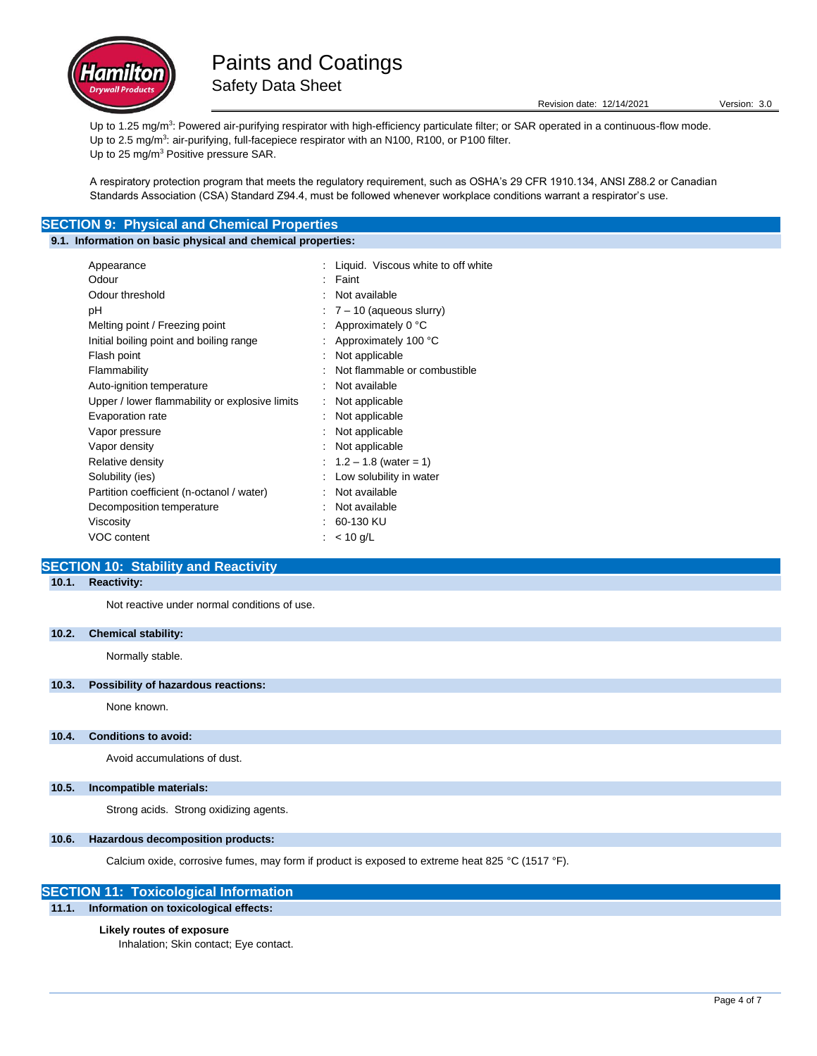

Revision date: 12/14/2021 Version: 3.0

Up to 1.25 mg/m<sup>3</sup>: Powered air-purifying respirator with high-efficiency particulate filter; or SAR operated in a continuous-flow mode. Up to 2.5 mg/m<sup>3</sup>: air-purifying, full-facepiece respirator with an N100, R100, or P100 filter. Up to 25 mg/m<sup>3</sup> Positive pressure SAR.

A respiratory protection program that meets the regulatory requirement, such as OSHA's 29 CFR 1910.134, ANSI Z88.2 or Canadian Standards Association (CSA) Standard Z94.4, must be followed whenever workplace conditions warrant a respirator's use.

## **SECTION 9: Physical and Chemical Properties**

## **9.1. Information on basic physical and chemical properties:**

| Appearance                                     | Liquid. Viscous white to off white |
|------------------------------------------------|------------------------------------|
| Odour                                          | Faint                              |
| Odour threshold                                | Not available                      |
| рH                                             | $\div$ 7 – 10 (aqueous slurry)     |
| Melting point / Freezing point                 | : Approximately $0^{\circ}$ C      |
| Initial boiling point and boiling range        | : Approximately 100 °C             |
| Flash point                                    | Not applicable                     |
| Flammability                                   | Not flammable or combustible       |
| Auto-ignition temperature                      | Not available                      |
| Upper / lower flammability or explosive limits | Not applicable                     |
| Evaporation rate                               | Not applicable                     |
| Vapor pressure                                 | Not applicable                     |
| Vapor density                                  | Not applicable                     |
| Relative density                               | : $1.2 - 1.8$ (water = 1)          |
| Solubility (ies)                               | Low solubility in water            |
| Partition coefficient (n-octanol / water)      | Not available                      |
| Decomposition temperature                      | Not available                      |
| Viscosity                                      | 60-130 KU                          |
| VOC content                                    | $< 10$ g/L                         |
|                                                |                                    |

## **SECTION 10: Stability and Reactivity**

## **10.1. Reactivity:**

Not reactive under normal conditions of use.

### **10.2. Chemical stability:**

Normally stable.

### **10.3. Possibility of hazardous reactions:**

None known.

#### **10.4. Conditions to avoid:**

Avoid accumulations of dust.

#### **10.5. Incompatible materials:**

Strong acids. Strong oxidizing agents.

### **10.6. Hazardous decomposition products:**

Calcium oxide, corrosive fumes, may form if product is exposed to extreme heat 825 °C (1517 °F).

## **SECTION 11: Toxicological Information**

**11.1. Information on toxicological effects:**

#### **Likely routes of exposure**

Inhalation; Skin contact; Eye contact.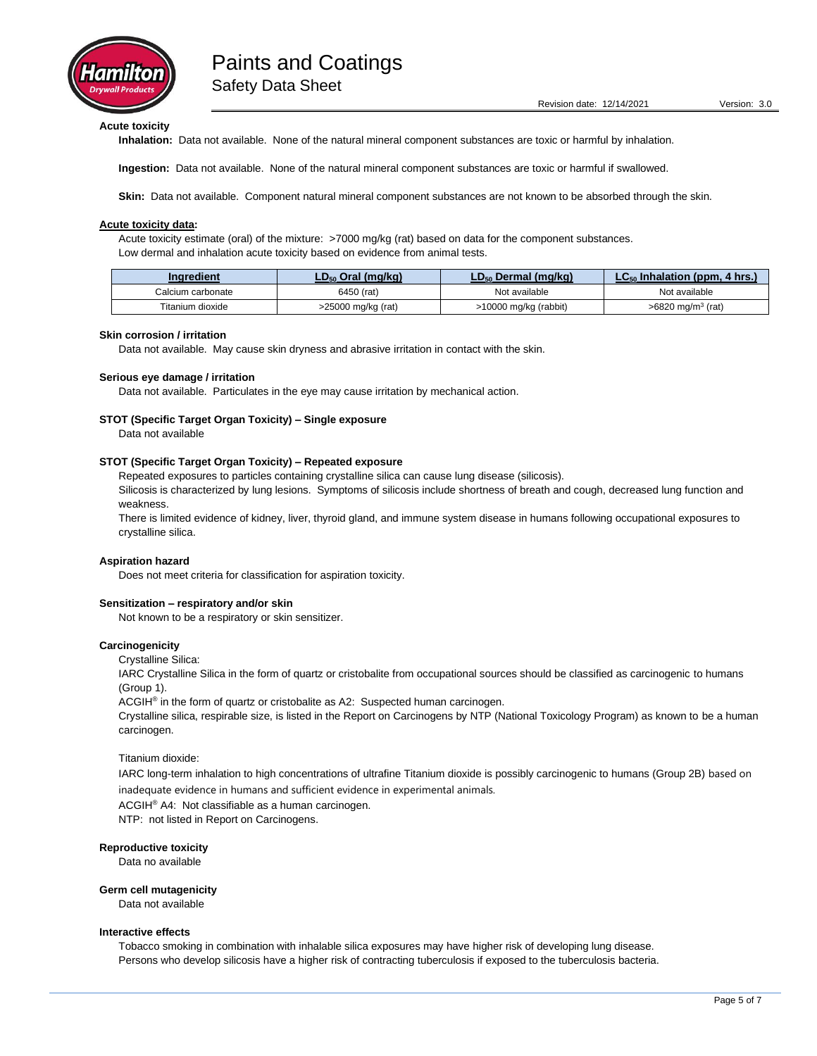

Revision date: 12/14/2021 Version: 3.0

**Acute toxicity**

**Inhalation:** Data not available. None of the natural mineral component substances are toxic or harmful by inhalation.

**Ingestion:** Data not available. None of the natural mineral component substances are toxic or harmful if swallowed.

**Skin:** Data not available. Component natural mineral component substances are not known to be absorbed through the skin.

#### **Acute toxicity data:**

Acute toxicity estimate (oral) of the mixture: >7000 mg/kg (rat) based on data for the component substances. Low dermal and inhalation acute toxicity based on evidence from animal tests.

| Ingredient        | $LD_{50}$ Oral (mg/kg) | LD <sub>50</sub> Dermal (mg/kg) | $LC_{50}$ Inhalation (ppm, 4 hrs.) |
|-------------------|------------------------|---------------------------------|------------------------------------|
| Calcium carbonate | 6450 (rat)             | Not available                   | Not available                      |
| Titanium dioxide  | >25000 mg/kg (rat)     | >10000 mg/kg (rabbit)           | >6820 mg/m <sup>3</sup> (rat)      |

#### **Skin corrosion / irritation**

Data not available. May cause skin dryness and abrasive irritation in contact with the skin.

#### **Serious eye damage / irritation**

Data not available. Particulates in the eye may cause irritation by mechanical action.

#### **STOT (Specific Target Organ Toxicity) – Single exposure**

Data not available

## **STOT (Specific Target Organ Toxicity) – Repeated exposure**

Repeated exposures to particles containing crystalline silica can cause lung disease (silicosis).

Silicosis is characterized by lung lesions. Symptoms of silicosis include shortness of breath and cough, decreased lung function and weakness.

There is limited evidence of kidney, liver, thyroid gland, and immune system disease in humans following occupational exposures to crystalline silica.

#### **Aspiration hazard**

Does not meet criteria for classification for aspiration toxicity.

#### **Sensitization – respiratory and/or skin**

Not known to be a respiratory or skin sensitizer.

#### **Carcinogenicity**

Crystalline Silica:

IARC Crystalline Silica in the form of quartz or cristobalite from occupational sources should be classified as carcinogenic to humans (Group 1).

ACGIH® in the form of quartz or cristobalite as A2: Suspected human carcinogen.

Crystalline silica, respirable size, is listed in the Report on Carcinogens by NTP (National Toxicology Program) as known to be a human carcinogen.

Titanium dioxide:

IARC long-term inhalation to high concentrations of ultrafine Titanium dioxide is possibly carcinogenic to humans (Group 2B) based on inadequate evidence in humans and sufficient evidence in experimental animals.

ACGIH® A4: Not classifiable as a human carcinogen.

NTP: not listed in Report on Carcinogens.

#### **Reproductive toxicity**

Data no available

#### **Germ cell mutagenicity**

Data not available

#### **Interactive effects**

Tobacco smoking in combination with inhalable silica exposures may have higher risk of developing lung disease. Persons who develop silicosis have a higher risk of contracting tuberculosis if exposed to the tuberculosis bacteria.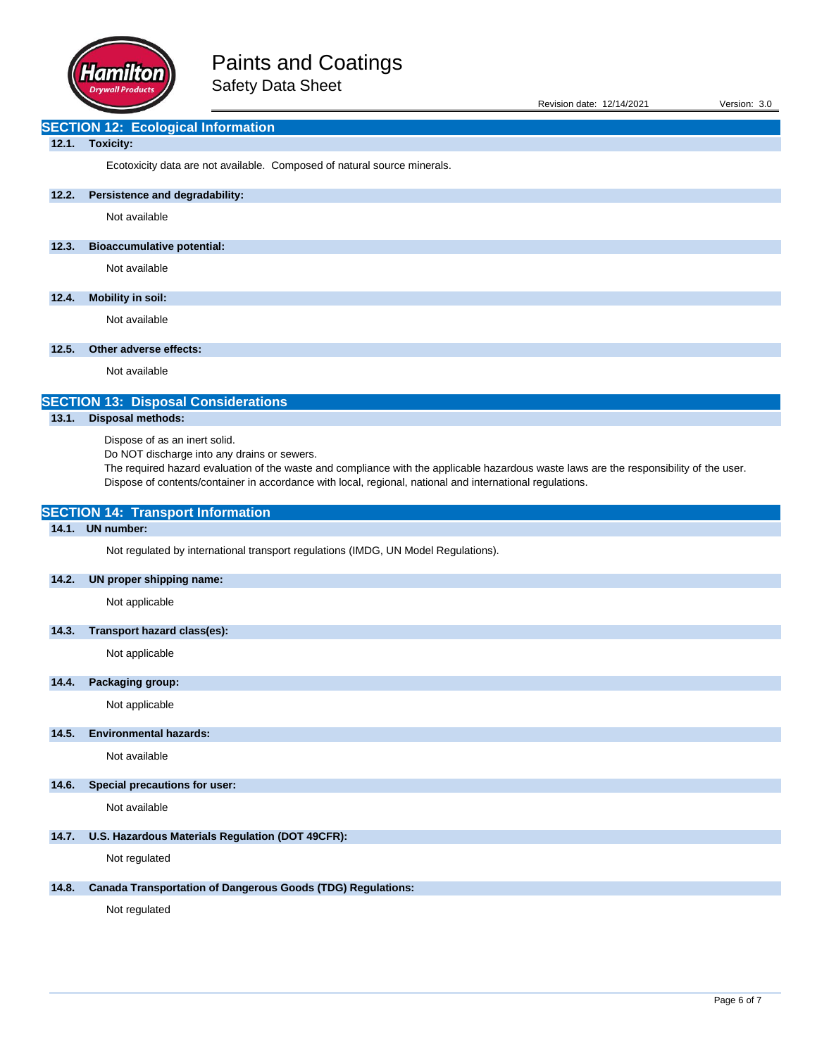

| Revision date: 12/14/2021 | Version: 3.0 |  |
|---------------------------|--------------|--|
|                           |              |  |

# **SECTION 12: Ecological Information**

## **12.1. Toxicity:**

Ecotoxicity data are not available. Composed of natural source minerals.

## **12.2. Persistence and degradability:**

Not available

## **12.3. Bioaccumulative potential:**

Not available

## **12.4. Mobility in soil:**

Not available

## **12.5. Other adverse effects:**

Not available

# **SECTION 13: Disposal Considerations**

# **13.1. Disposal methods:**

Dispose of as an inert solid.

**SECTION 14: Transport Information**

Do NOT discharge into any drains or sewers.

The required hazard evaluation of the waste and compliance with the applicable hazardous waste laws are the responsibility of the user. Dispose of contents/container in accordance with local, regional, national and international regulations.

| 14.1. | <b>UN</b> number:                                                                  |
|-------|------------------------------------------------------------------------------------|
|       | Not regulated by international transport regulations (IMDG, UN Model Regulations). |
| 14.2. | UN proper shipping name:                                                           |
|       | Not applicable                                                                     |
| 14.3. | Transport hazard class(es):                                                        |
|       | Not applicable                                                                     |
| 14.4. | Packaging group:                                                                   |
|       | Not applicable                                                                     |
| 14.5. | <b>Environmental hazards:</b>                                                      |
|       | Not available                                                                      |
| 14.6. | Special precautions for user:                                                      |
|       | Not available                                                                      |
| 14.7. | U.S. Hazardous Materials Regulation (DOT 49CFR):                                   |
|       | Not regulated                                                                      |
| 14.8. | <b>Canada Transportation of Dangerous Goods (TDG) Regulations:</b>                 |
|       | Not regulated                                                                      |
|       |                                                                                    |
|       |                                                                                    |
|       |                                                                                    |